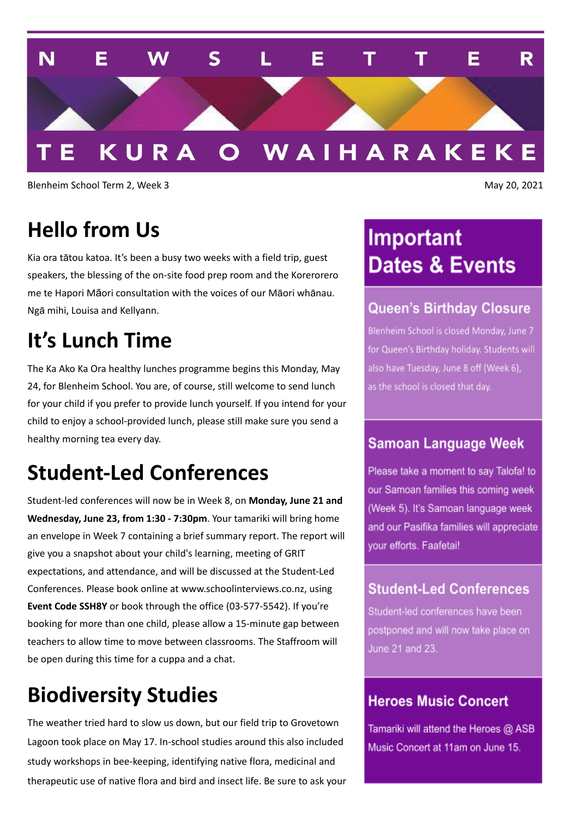

Blenheim School Term 2, Week 3 May 20, 2021

### **Hello from Us**

Kia ora tātou katoa. It's been a busy two weeks with a field trip, guest speakers, the blessing of the on-site food prep room and the Korerorero me te Hapori Māori consultation with the voices of our Māori whānau. Ngā mihi, Louisa and Kellyann.

### **It's Lunch Time**

The Ka Ako Ka Ora healthy lunches programme begins this Monday, May 24, for Blenheim School. You are, of course, still welcome to send lunch for your child if you prefer to provide lunch yourself. If you intend for your child to enjoy a school-provided lunch, please still make sure you send a healthy morning tea every day.

## **Student-Led Conferences**

Student-led conferences will now be in Week 8, on **Monday, June 21 and Wednesday, June 23, from 1:30 - 7:30pm**. Your tamariki will bring home an envelope in Week 7 containing a brief summary report. The report will give you a snapshot about your child's learning, meeting of GRIT expectations, and attendance, and will be discussed at the Student-Led Conferences. Please book online at www.schoolinterviews.co.nz, using **Event Code SSH8Y** or book through the office (03-577-5542). If you're booking for more than one child, please allow a 15-minute gap between teachers to allow time to move between classrooms. The Staffroom will be open during this time for a cuppa and a chat.

## **Biodiversity Studies**

The weather tried hard to slow us down, but our field trip to Grovetown Lagoon took place on May 17. In-school studies around this also included study workshops in bee-keeping, identifying native flora, medicinal and therapeutic use of native flora and bird and insect life. Be sure to ask your

# Important **Dates & Events**

#### **Queen's Birthday Closure**

Blenheim School is closed Monday, June 7 for Queen's Birthday holiday. Students will also have Tuesday, June 8 off (Week 6), as the school is closed that day.

#### **Samoan Language Week**

Please take a moment to say Talofa! to our Samoan families this coming week (Week 5). It's Samoan language week and our Pasifika families will appreciate vour efforts. Faafetai!

#### **Student-Led Conferences**

Student-led conferences have been postponed and will now take place on June 21 and 23.

#### **Heroes Music Concert**

Tamariki will attend the Heroes @ ASB Music Concert at 11am on June 15.